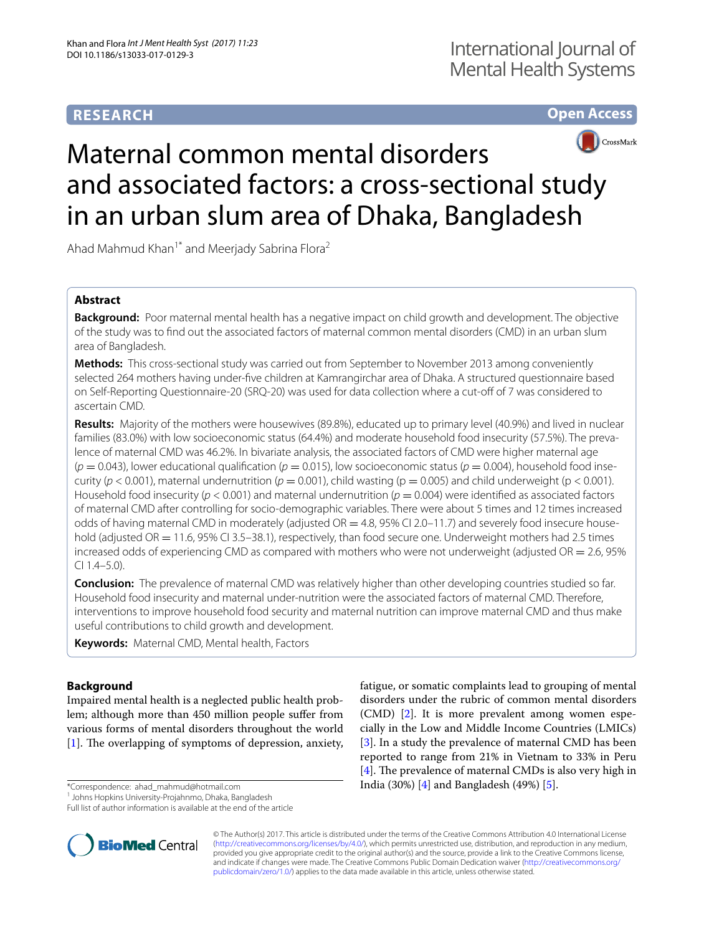# **RESEARCH**

# **Open Access**



# Maternal common mental disorders and associated factors: a cross-sectional study in an urban slum area of Dhaka, Bangladesh

Ahad Mahmud Khan<sup>1\*</sup> and Meerjady Sabrina Flora<sup>2</sup>

# **Abstract**

**Background:** Poor maternal mental health has a negative impact on child growth and development. The objective of the study was to find out the associated factors of maternal common mental disorders (CMD) in an urban slum area of Bangladesh.

**Methods:** This cross-sectional study was carried out from September to November 2013 among conveniently selected 264 mothers having under-five children at Kamrangirchar area of Dhaka. A structured questionnaire based on Self-Reporting Questionnaire-20 (SRQ-20) was used for data collection where a cut-off of 7 was considered to ascertain CMD.

**Results:** Majority of the mothers were housewives (89.8%), educated up to primary level (40.9%) and lived in nuclear families (83.0%) with low socioeconomic status (64.4%) and moderate household food insecurity (57.5%). The prevalence of maternal CMD was 46.2%. In bivariate analysis, the associated factors of CMD were higher maternal age  $(p = 0.043)$ , lower educational qualification  $(p = 0.015)$ , low socioeconomic status  $(p = 0.004)$ , household food insecurity ( $p < 0.001$ ), maternal undernutrition ( $p = 0.001$ ), child wasting ( $p = 0.005$ ) and child underweight ( $p < 0.001$ ). Household food insecurity (*p* < 0.001) and maternal undernutrition (*p* = 0.004) were identified as associated factors of maternal CMD after controlling for socio-demographic variables. There were about 5 times and 12 times increased odds of having maternal CMD in moderately (adjusted  $OR = 4.8$ , 95% CI 2.0–11.7) and severely food insecure household (adjusted OR = 11.6, 95% CI 3.5–38.1), respectively, than food secure one. Underweight mothers had 2.5 times increased odds of experiencing CMD as compared with mothers who were not underweight (adjusted  $OR = 2.6$ , 95% CI 1.4–5.0).

**Conclusion:** The prevalence of maternal CMD was relatively higher than other developing countries studied so far. Household food insecurity and maternal under-nutrition were the associated factors of maternal CMD. Therefore, interventions to improve household food security and maternal nutrition can improve maternal CMD and thus make useful contributions to child growth and development.

**Keywords:** Maternal CMD, Mental health, Factors

# **Background**

Impaired mental health is a neglected public health problem; although more than 450 million people suffer from various forms of mental disorders throughout the world [[1\]](#page-5-0). The overlapping of symptoms of depression, anxiety,

\*Correspondence: ahad\_mahmud@hotmail.com

<sup>1</sup> Johns Hopkins University-Projahnmo, Dhaka, Bangladesh

Full list of author information is available at the end of the article





© The Author(s) 2017. This article is distributed under the terms of the Creative Commons Attribution 4.0 International License [\(http://creativecommons.org/licenses/by/4.0/\)](http://creativecommons.org/licenses/by/4.0/), which permits unrestricted use, distribution, and reproduction in any medium, provided you give appropriate credit to the original author(s) and the source, provide a link to the Creative Commons license, and indicate if changes were made. The Creative Commons Public Domain Dedication waiver ([http://creativecommons.org/](http://creativecommons.org/publicdomain/zero/1.0/) [publicdomain/zero/1.0/](http://creativecommons.org/publicdomain/zero/1.0/)) applies to the data made available in this article, unless otherwise stated.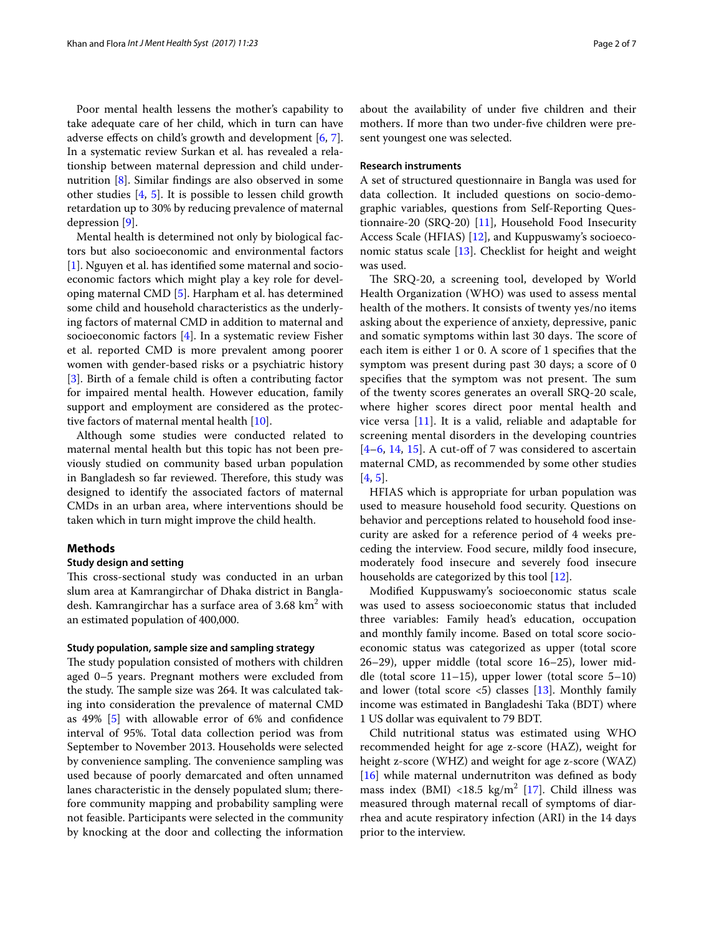Poor mental health lessens the mother's capability to take adequate care of her child, which in turn can have adverse effects on child's growth and development [\[6](#page-5-5), [7](#page-6-0)]. In a systematic review Surkan et al. has revealed a relationship between maternal depression and child undernutrition [[8\]](#page-6-1). Similar findings are also observed in some other studies [\[4](#page-5-3), [5\]](#page-5-4). It is possible to lessen child growth retardation up to 30% by reducing prevalence of maternal depression [\[9](#page-6-2)].

Mental health is determined not only by biological factors but also socioeconomic and environmental factors [[1\]](#page-5-0). Nguyen et al. has identified some maternal and socioeconomic factors which might play a key role for developing maternal CMD [\[5](#page-5-4)]. Harpham et al. has determined some child and household characteristics as the underlying factors of maternal CMD in addition to maternal and socioeconomic factors [[4\]](#page-5-3). In a systematic review Fisher et al. reported CMD is more prevalent among poorer women with gender-based risks or a psychiatric history [[3\]](#page-5-2). Birth of a female child is often a contributing factor for impaired mental health. However education, family support and employment are considered as the protective factors of maternal mental health [\[10\]](#page-6-3).

Although some studies were conducted related to maternal mental health but this topic has not been previously studied on community based urban population in Bangladesh so far reviewed. Therefore, this study was designed to identify the associated factors of maternal CMDs in an urban area, where interventions should be taken which in turn might improve the child health.

#### **Methods**

#### **Study design and setting**

This cross-sectional study was conducted in an urban slum area at Kamrangirchar of Dhaka district in Bangladesh. Kamrangirchar has a surface area of 3.68  $\rm km^2$  with an estimated population of 400,000.

# **Study population, sample size and sampling strategy**

The study population consisted of mothers with children aged 0–5 years. Pregnant mothers were excluded from the study. The sample size was 264. It was calculated taking into consideration the prevalence of maternal CMD as 49% [[5\]](#page-5-4) with allowable error of 6% and confidence interval of 95%. Total data collection period was from September to November 2013. Households were selected by convenience sampling. The convenience sampling was used because of poorly demarcated and often unnamed lanes characteristic in the densely populated slum; therefore community mapping and probability sampling were not feasible. Participants were selected in the community by knocking at the door and collecting the information about the availability of under five children and their mothers. If more than two under-five children were present youngest one was selected.

#### **Research instruments**

A set of structured questionnaire in Bangla was used for data collection. It included questions on socio-demographic variables, questions from Self-Reporting Questionnaire-20 (SRQ-20) [[11\]](#page-6-4), Household Food Insecurity Access Scale (HFIAS) [[12\]](#page-6-5), and Kuppuswamy's socioeconomic status scale [[13\]](#page-6-6). Checklist for height and weight was used.

The SRQ-20, a screening tool, developed by World Health Organization (WHO) was used to assess mental health of the mothers. It consists of twenty yes/no items asking about the experience of anxiety, depressive, panic and somatic symptoms within last 30 days. The score of each item is either 1 or 0. A score of 1 specifies that the symptom was present during past 30 days; a score of 0 specifies that the symptom was not present. The sum of the twenty scores generates an overall SRQ-20 scale, where higher scores direct poor mental health and vice versa [[11\]](#page-6-4). It is a valid, reliable and adaptable for screening mental disorders in the developing countries  $[4-6, 14, 15]$  $[4-6, 14, 15]$  $[4-6, 14, 15]$  $[4-6, 14, 15]$  $[4-6, 14, 15]$  $[4-6, 14, 15]$  $[4-6, 14, 15]$  $[4-6, 14, 15]$  $[4-6, 14, 15]$ . A cut-off of 7 was considered to ascertain maternal CMD, as recommended by some other studies [[4](#page-5-3), [5\]](#page-5-4).

HFIAS which is appropriate for urban population was used to measure household food security. Questions on behavior and perceptions related to household food insecurity are asked for a reference period of 4 weeks preceding the interview. Food secure, mildly food insecure, moderately food insecure and severely food insecure households are categorized by this tool [[12\]](#page-6-5).

Modified Kuppuswamy's socioeconomic status scale was used to assess socioeconomic status that included three variables: Family head's education, occupation and monthly family income. Based on total score socioeconomic status was categorized as upper (total score 26–29), upper middle (total score 16–25), lower middle (total score 11–15), upper lower (total score 5–10) and lower (total score  $\lt 5$ ) classes [[13](#page-6-6)]. Monthly family income was estimated in Bangladeshi Taka (BDT) where 1 US dollar was equivalent to 79 BDT.

Child nutritional status was estimated using WHO recommended height for age z-score (HAZ), weight for height z-score (WHZ) and weight for age z-score (WAZ) [[16\]](#page-6-9) while maternal undernutriton was defined as body mass index (BMI) <18.5  $\text{kg/m}^2$  [\[17\]](#page-6-10). Child illness was measured through maternal recall of symptoms of diarrhea and acute respiratory infection (ARI) in the 14 days prior to the interview.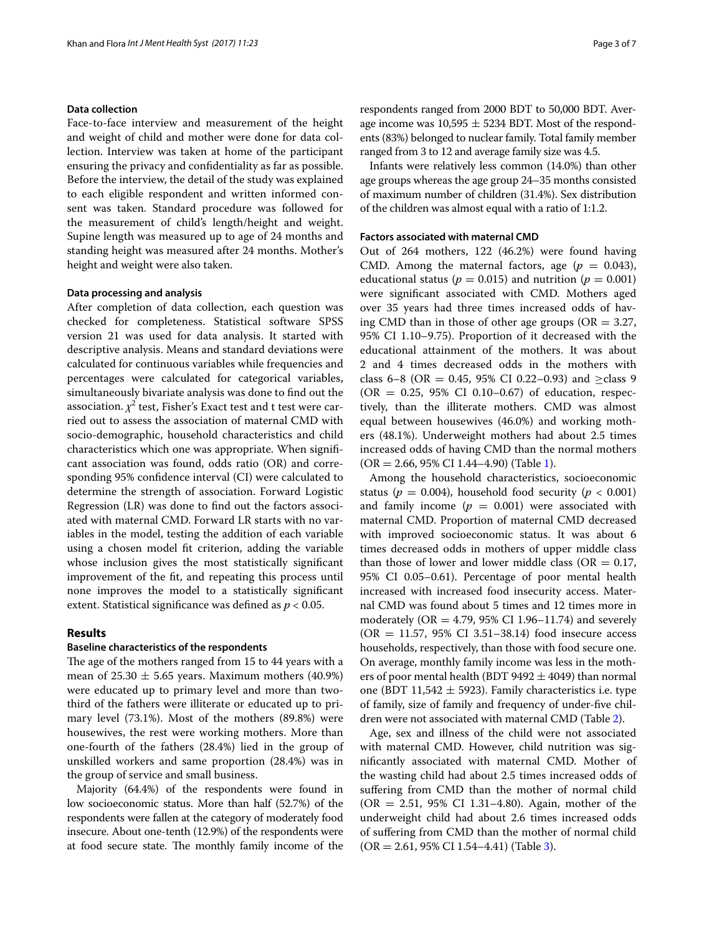# **Data collection**

Face-to-face interview and measurement of the height and weight of child and mother were done for data collection. Interview was taken at home of the participant ensuring the privacy and confidentiality as far as possible. Before the interview, the detail of the study was explained to each eligible respondent and written informed consent was taken. Standard procedure was followed for the measurement of child's length/height and weight. Supine length was measured up to age of 24 months and standing height was measured after 24 months. Mother's height and weight were also taken.

#### **Data processing and analysis**

After completion of data collection, each question was checked for completeness. Statistical software SPSS version 21 was used for data analysis. It started with descriptive analysis. Means and standard deviations were calculated for continuous variables while frequencies and percentages were calculated for categorical variables, simultaneously bivariate analysis was done to find out the association.  $\chi^2$  test, Fisher's Exact test and t test were carried out to assess the association of maternal CMD with socio-demographic, household characteristics and child characteristics which one was appropriate. When significant association was found, odds ratio (OR) and corresponding 95% confidence interval (CI) were calculated to determine the strength of association. Forward Logistic Regression (LR) was done to find out the factors associated with maternal CMD. Forward LR starts with no variables in the model, testing the addition of each variable using a chosen model fit criterion, adding the variable whose inclusion gives the most statistically significant improvement of the fit, and repeating this process until none improves the model to a statistically significant extent. Statistical significance was defined as *p* < 0.05.

# **Results**

#### **Baseline characteristics of the respondents**

The age of the mothers ranged from 15 to 44 years with a mean of  $25.30 \pm 5.65$  years. Maximum mothers (40.9%) were educated up to primary level and more than twothird of the fathers were illiterate or educated up to primary level (73.1%). Most of the mothers (89.8%) were housewives, the rest were working mothers. More than one-fourth of the fathers (28.4%) lied in the group of unskilled workers and same proportion (28.4%) was in the group of service and small business.

Majority (64.4%) of the respondents were found in low socioeconomic status. More than half (52.7%) of the respondents were fallen at the category of moderately food insecure. About one-tenth (12.9%) of the respondents were at food secure state. The monthly family income of the respondents ranged from 2000 BDT to 50,000 BDT. Average income was  $10,595 \pm 5234$  BDT. Most of the respondents (83%) belonged to nuclear family. Total family member ranged from 3 to 12 and average family size was 4.5.

Infants were relatively less common (14.0%) than other age groups whereas the age group 24–35 months consisted of maximum number of children (31.4%). Sex distribution of the children was almost equal with a ratio of 1:1.2.

# **Factors associated with maternal CMD**

Out of 264 mothers, 122 (46.2%) were found having CMD. Among the maternal factors, age  $(p = 0.043)$ , educational status ( $p = 0.015$ ) and nutrition ( $p = 0.001$ ) were significant associated with CMD. Mothers aged over 35 years had three times increased odds of having CMD than in those of other age groups ( $OR = 3.27$ , 95% CI 1.10–9.75). Proportion of it decreased with the educational attainment of the mothers. It was about 2 and 4 times decreased odds in the mothers with class 6–8 (OR = 0.45, 95% CI 0.22–0.93) and  $\geq$ class 9  $(OR = 0.25, 95\% \text{ CI } 0.10-0.67)$  of education, respectively, than the illiterate mothers. CMD was almost equal between housewives (46.0%) and working mothers (48.1%). Underweight mothers had about 2.5 times increased odds of having CMD than the normal mothers  $(OR = 2.66, 95\% \text{ CI } 1.44-4.90)$  $(OR = 2.66, 95\% \text{ CI } 1.44-4.90)$  $(OR = 2.66, 95\% \text{ CI } 1.44-4.90)$  (Table 1).

Among the household characteristics, socioeconomic status ( $p = 0.004$ ), household food security ( $p < 0.001$ ) and family income  $(p = 0.001)$  were associated with maternal CMD. Proportion of maternal CMD decreased with improved socioeconomic status. It was about 6 times decreased odds in mothers of upper middle class than those of lower and lower middle class ( $OR = 0.17$ , 95% CI 0.05–0.61). Percentage of poor mental health increased with increased food insecurity access. Maternal CMD was found about 5 times and 12 times more in moderately (OR = 4.79, 95% CI 1.96–11.74) and severely  $(OR = 11.57, 95\% \text{ CI } 3.51 - 38.14) \text{ food insecure access}$ households, respectively, than those with food secure one. On average, monthly family income was less in the mothers of poor mental health (BDT 9492  $\pm$  4049) than normal one (BDT 11,542  $\pm$  5923). Family characteristics i.e. type of family, size of family and frequency of under-five children were not associated with maternal CMD (Table [2](#page-4-0)).

Age, sex and illness of the child were not associated with maternal CMD. However, child nutrition was significantly associated with maternal CMD. Mother of the wasting child had about 2.5 times increased odds of suffering from CMD than the mother of normal child (OR = 2.51, 95% CI 1.31–4.80). Again, mother of the underweight child had about 2.6 times increased odds of suffering from CMD than the mother of normal child  $(OR = 2.61, 95\% \text{ CI } 1.54 - 4.41)$  (Table [3](#page-5-6)).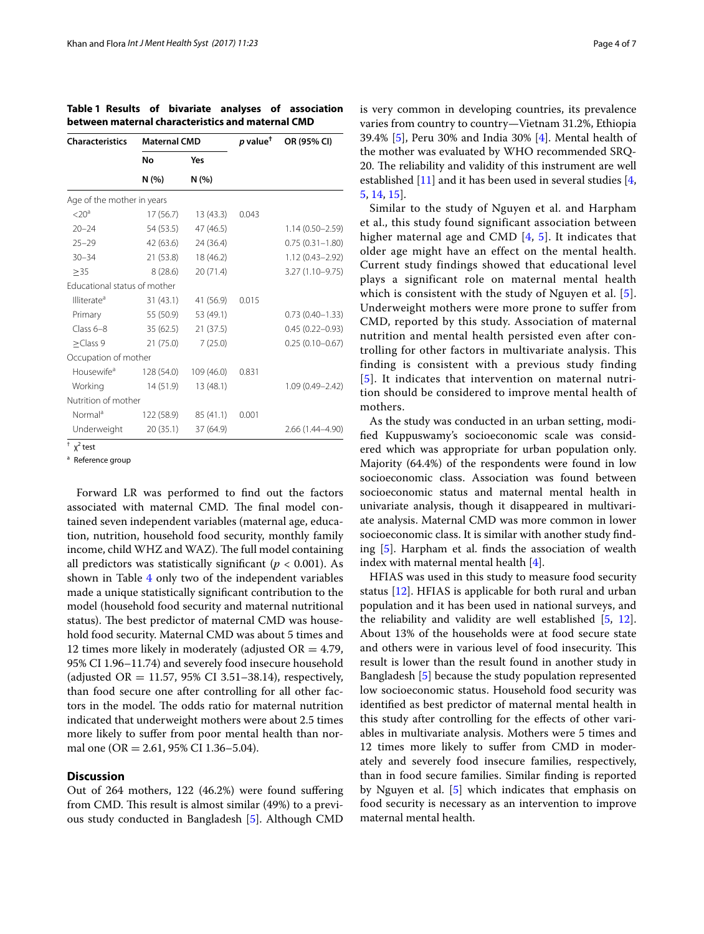| <b>Characteristics</b>       | <b>Maternal CMD</b> |              | $p$ value <sup>†</sup> | OR (95% CI)         |
|------------------------------|---------------------|--------------|------------------------|---------------------|
|                              | No<br>N(% )         | Yes<br>N(% ) |                        |                     |
|                              |                     |              |                        |                     |
| $<$ 20 <sup>a</sup>          | 17 (56.7)           | 13(43.3)     | 0.043                  |                     |
| $20 - 24$                    | 54 (53.5)           | 47 (46.5)    |                        | $1.14(0.50 - 2.59)$ |
| $25 - 29$                    | 42 (63.6)           | 24 (36.4)    |                        | $0.75(0.31 - 1.80)$ |
| $30 - 34$                    | 21(53.8)            | 18 (46.2)    |                        | $1.12(0.43 - 2.92)$ |
| >35                          | 8(28.6)             | 20 (71.4)    |                        | 3.27 (1.10-9.75)    |
| Educational status of mother |                     |              |                        |                     |
| Illiterate <sup>a</sup>      | 31(43.1)            | 41 (56.9)    | 0.015                  |                     |
| Primary                      | 55 (50.9)           | 53 (49.1)    |                        | $0.73(0.40 - 1.33)$ |
| $Class 6-8$                  | 35(62.5)            | 21 (37.5)    |                        | $0.45(0.22 - 0.93)$ |
| $\geq$ Class 9               | 21(75.0)            | 7(25.0)      |                        | $0.25(0.10 - 0.67)$ |
| Occupation of mother         |                     |              |                        |                     |
| Housewife <sup>a</sup>       | 128 (54.0)          | 109 (46.0)   | 0.831                  |                     |
| Working                      | 14(51.9)            | 13 (48.1)    |                        | $1.09(0.49 - 2.42)$ |
| Nutrition of mother          |                     |              |                        |                     |
| Normal <sup>a</sup>          | 122 (58.9)          | 85 (41.1)    | 0.001                  |                     |
| Underweight                  | 20(35.1)            | 37 (64.9)    |                        | 2.66 (1.44–4.90)    |

<span id="page-3-0"></span>**Table 1 Results of bivariate analyses of association between maternal characteristics and maternal CMD**

 $\dagger$   $\chi^2$  test

<sup>a</sup> Reference group

Forward LR was performed to find out the factors associated with maternal CMD. The final model contained seven independent variables (maternal age, education, nutrition, household food security, monthly family income, child WHZ and WAZ). The full model containing all predictors was statistically significant ( $p < 0.001$ ). As shown in Table [4](#page-5-7) only two of the independent variables made a unique statistically significant contribution to the model (household food security and maternal nutritional status). The best predictor of maternal CMD was household food security. Maternal CMD was about 5 times and 12 times more likely in moderately (adjusted  $OR = 4.79$ , 95% CI 1.96–11.74) and severely food insecure household (adjusted OR = 11.57, 95% CI 3.51–38.14), respectively, than food secure one after controlling for all other factors in the model. The odds ratio for maternal nutrition indicated that underweight mothers were about 2.5 times more likely to suffer from poor mental health than normal one (OR = 2.61, 95% CI 1.36–5.04).

## **Discussion**

Out of 264 mothers, 122 (46.2%) were found suffering from CMD. This result is almost similar (49%) to a previous study conducted in Bangladesh [\[5](#page-5-4)]. Although CMD is very common in developing countries, its prevalence varies from country to country—Vietnam 31.2%, Ethiopia 39.4% [[5\]](#page-5-4), Peru 30% and India 30% [[4\]](#page-5-3). Mental health of the mother was evaluated by WHO recommended SRQ-20. The reliability and validity of this instrument are well established [[11\]](#page-6-4) and it has been used in several studies [\[4](#page-5-3), [5,](#page-5-4) [14](#page-6-7), [15](#page-6-8)].

Similar to the study of Nguyen et al. and Harpham et al., this study found significant association between higher maternal age and CMD [[4,](#page-5-3) [5\]](#page-5-4). It indicates that older age might have an effect on the mental health. Current study findings showed that educational level plays a significant role on maternal mental health which is consistent with the study of Nguyen et al. [[5\]](#page-5-4). Underweight mothers were more prone to suffer from CMD, reported by this study. Association of maternal nutrition and mental health persisted even after controlling for other factors in multivariate analysis. This finding is consistent with a previous study finding [[5](#page-5-4)]. It indicates that intervention on maternal nutrition should be considered to improve mental health of mothers.

As the study was conducted in an urban setting, modified Kuppuswamy's socioeconomic scale was considered which was appropriate for urban population only. Majority (64.4%) of the respondents were found in low socioeconomic class. Association was found between socioeconomic status and maternal mental health in univariate analysis, though it disappeared in multivariate analysis. Maternal CMD was more common in lower socioeconomic class. It is similar with another study finding [[5\]](#page-5-4). Harpham et al. finds the association of wealth index with maternal mental health [[4\]](#page-5-3).

HFIAS was used in this study to measure food security status [[12](#page-6-5)]. HFIAS is applicable for both rural and urban population and it has been used in national surveys, and the reliability and validity are well established [[5](#page-5-4), [12](#page-6-5)]. About 13% of the households were at food secure state and others were in various level of food insecurity. This result is lower than the result found in another study in Bangladesh [\[5](#page-5-4)] because the study population represented low socioeconomic status. Household food security was identified as best predictor of maternal mental health in this study after controlling for the effects of other variables in multivariate analysis. Mothers were 5 times and 12 times more likely to suffer from CMD in moderately and severely food insecure families, respectively, than in food secure families. Similar finding is reported by Nguyen et al. [\[5](#page-5-4)] which indicates that emphasis on food security is necessary as an intervention to improve maternal mental health.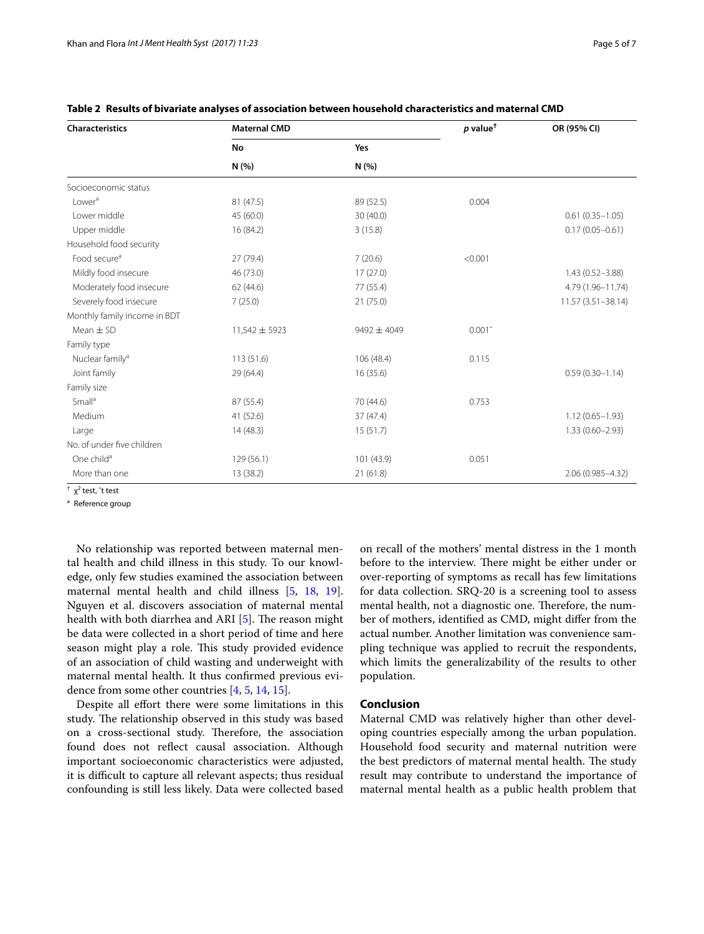| <b>Characteristics</b>       | <b>Maternal CMD</b> |                 | $p$ value <sup>t</sup> | OR (95% CI)         |
|------------------------------|---------------------|-----------------|------------------------|---------------------|
|                              | No<br>N(%)          | Yes<br>N(% )    |                        |                     |
|                              |                     |                 |                        |                     |
| Lower <sup>a</sup>           | 81 (47.5)           | 89 (52.5)       | 0.004                  |                     |
| Lower middle                 | 45 (60.0)           | 30(40.0)        |                        | $0.61(0.35 - 1.05)$ |
| Upper middle                 | 16 (84.2)           | 3(15.8)         |                        | $0.17(0.05 - 0.61)$ |
| Household food security      |                     |                 |                        |                     |
| Food secure <sup>a</sup>     | 27 (79.4)           | 7(20.6)         | < 0.001                |                     |
| Mildly food insecure         | 46 (73.0)           | 17(27.0)        |                        | $1.43(0.52 - 3.88)$ |
| Moderately food insecure     | 62 (44.6)           | 77 (55.4)       |                        | 4.79 (1.96-11.74)   |
| Severely food insecure       | 7(25.0)             | 21(75.0)        |                        | 11.57 (3.51-38.14)  |
| Monthly family income in BDT |                     |                 |                        |                     |
| Mean $\pm$ SD                | $11,542 \pm 5923$   | $9492 \pm 4049$ | $0.001$ <sup>^</sup>   |                     |
| Family type                  |                     |                 |                        |                     |
| Nuclear family <sup>a</sup>  | 113 (51.6)          | 106 (48.4)      | 0.115                  |                     |
| Joint family                 | 29 (64.4)           | 16 (35.6)       |                        | $0.59(0.30 - 1.14)$ |
| Family size                  |                     |                 |                        |                     |
| Small <sup>a</sup>           | 87 (55.4)           | 70 (44.6)       | 0.753                  |                     |
| Medium                       | 41 (52.6)           | 37 (47.4)       |                        | $1.12(0.65 - 1.93)$ |
| Large                        | 14(48.3)            | 15(51.7)        |                        | $1.33(0.60 - 2.93)$ |
| No. of under five children   |                     |                 |                        |                     |
| One child <sup>a</sup>       | 129 (56.1)          | 101 (43.9)      | 0.051                  |                     |
| More than one                | 13 (38.2)           | 21(61.8)        |                        | 2.06 (0.985-4.32)   |

<span id="page-4-0"></span>**Table 2 Results of bivariate analyses of association between household characteristics and maternal CMD**

<sup>†</sup> χ<sup>2</sup> test, ^t test

<sup>a</sup> Reference group

No relationship was reported between maternal mental health and child illness in this study. To our knowledge, only few studies examined the association between maternal mental health and child illness [[5,](#page-5-4) [18](#page-6-11), [19](#page-6-12)]. Nguyen et al. discovers association of maternal mental health with both diarrhea and ARI [\[5](#page-5-4)]. The reason might be data were collected in a short period of time and here season might play a role. This study provided evidence of an association of child wasting and underweight with maternal mental health. It thus confirmed previous evidence from some other countries [\[4](#page-5-3), [5,](#page-5-4) [14](#page-6-7), [15](#page-6-8)].

Despite all effort there were some limitations in this study. The relationship observed in this study was based on a cross-sectional study. Therefore, the association found does not reflect causal association. Although important socioeconomic characteristics were adjusted, it is difficult to capture all relevant aspects; thus residual confounding is still less likely. Data were collected based on recall of the mothers' mental distress in the 1 month before to the interview. There might be either under or over-reporting of symptoms as recall has few limitations for data collection. SRQ-20 is a screening tool to assess mental health, not a diagnostic one. Therefore, the number of mothers, identified as CMD, might differ from the actual number. Another limitation was convenience sampling technique was applied to recruit the respondents, which limits the generalizability of the results to other population.

# **Conclusion**

Maternal CMD was relatively higher than other developing countries especially among the urban population. Household food security and maternal nutrition were the best predictors of maternal mental health. The study result may contribute to understand the importance of maternal mental health as a public health problem that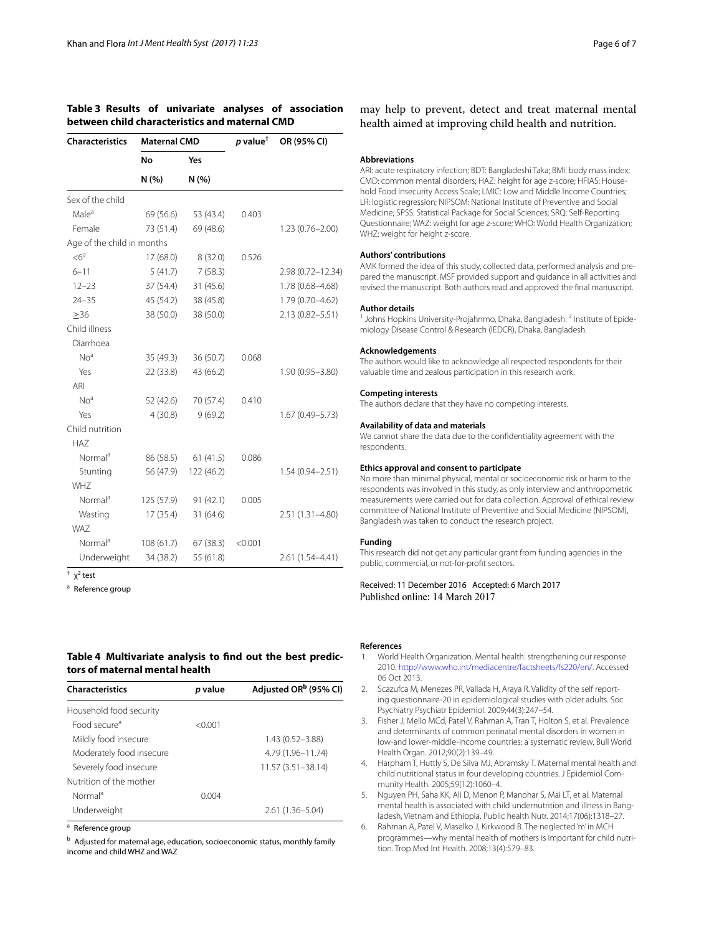#### <span id="page-5-6"></span>**Table 3 Results of univariate analyses of association between child characteristics and maternal CMD**

| <b>Characteristics</b>     | <b>Maternal CMD</b> |             | $p$ value <sup>t</sup> | OR (95% CI)         |
|----------------------------|---------------------|-------------|------------------------|---------------------|
|                            | No<br>N(% )         | Yes<br>N(%) |                        |                     |
|                            |                     |             |                        |                     |
| Male <sup>a</sup>          | 69 (56.6)           | 53 (43.4)   | 0.403                  |                     |
| Female                     | 73 (51.4)           | 69 (48.6)   |                        | $1.23(0.76 - 2.00)$ |
| Age of the child in months |                     |             |                        |                     |
| $<6^a$                     | 17 (68.0)           | 8(32.0)     | 0.526                  |                     |
| $6 - 11$                   | 5(41.7)             | 7(58.3)     |                        | 2.98 (0.72-12.34)   |
| $12 - 23$                  | 37 (54.4)           | 31 (45.6)   |                        | 1.78 (0.68-4.68)    |
| $24 - 35$                  | 45 (54.2)           | 38 (45.8)   |                        | 1.79 (0.70-4.62)    |
| >36                        | 38 (50.0)           | 38 (50.0)   |                        | 2.13 (0.82-5.51)    |
| Child illness              |                     |             |                        |                     |
| Diarrhoea                  |                     |             |                        |                     |
| No <sup>a</sup>            | 35 (49.3)           | 36 (50.7)   | 0.068                  |                     |
| Yes                        | 22 (33.8)           | 43 (66.2)   |                        | $1.90(0.95 - 3.80)$ |
| ARI                        |                     |             |                        |                     |
| No <sup>a</sup>            | 52 (42.6)           | 70 (57.4)   | 0.410                  |                     |
| Yes                        | 4(30.8)             | 9(69.2)     |                        | $1.67(0.49 - 5.73)$ |
| Child nutrition            |                     |             |                        |                     |
| <b>HAZ</b>                 |                     |             |                        |                     |
| Normal <sup>a</sup>        | 86 (58.5)           | 61(41.5)    | 0.086                  |                     |
| Stunting                   | 56 (47.9)           | 122 (46.2)  |                        | $1.54(0.94 - 2.51)$ |
| WH7                        |                     |             |                        |                     |
| Normal <sup>a</sup>        | 125 (57.9)          | 91(42.1)    | 0.005                  |                     |
| Wasting                    | 17(35.4)            | 31 (64.6)   |                        | 2.51 (1.31-4.80)    |
| WA7                        |                     |             |                        |                     |
| Normal <sup>a</sup>        | 108(61.7)           | 67(38.3)    | < 0.001                |                     |
| Underweight                | 34 (38.2)           | 55 (61.8)   |                        | 2.61 (1.54-4.41)    |

 $\dagger$   $\chi^2$  test

<sup>a</sup> Reference group

# <span id="page-5-7"></span>**Table 4 Multivariate analysis to find out the best predictors of maternal mental health**

| <b>Characteristics</b>   | p value | Adjusted OR <sup>b</sup> (95% CI) |
|--------------------------|---------|-----------------------------------|
| Household food security  |         |                                   |
| Food secure <sup>a</sup> | < 0.001 |                                   |
| Mildly food insecure     |         | $1.43(0.52 - 3.88)$               |
| Moderately food insecure |         | 4.79 (1.96-11.74)                 |
| Severely food insecure   |         | $11.57(3.51 - 38.14)$             |
| Nutrition of the mother  |         |                                   |
| Normal <sup>a</sup>      | 0.004   |                                   |
| Underweight              |         | 2.61 (1.36–5.04)                  |

<sup>a</sup> Reference group

b Adjusted for maternal age, education, socioeconomic status, monthly family income and child WHZ and WAZ

Received: 11 December 2016 Accepted: 6 March 2017

#### **References**

- <span id="page-5-0"></span>1. World Health Organization. Mental health: strengthening our response 2010.<http://www.who.int/mediacentre/factsheets/fs220/en/>. Accessed 06 Oct 2013.
- <span id="page-5-1"></span>2. Scazufca M, Menezes PR, Vallada H, Araya R. Validity of the self reporting questionnaire-20 in epidemiological studies with older adults. Soc Psychiatry Psychiatr Epidemiol. 2009;44(3):247–54.
- <span id="page-5-2"></span>3. Fisher J, Mello MCd, Patel V, Rahman A, Tran T, Holton S, et al. Prevalence and determinants of common perinatal mental disorders in women in low-and lower-middle-income countries: a systematic review. Bull World Health Organ. 2012;90(2):139–49.
- <span id="page-5-3"></span>4. Harpham T, Huttly S, De Silva MJ, Abramsky T. Maternal mental health and child nutritional status in four developing countries. J Epidemiol Community Health. 2005;59(12):1060–4.
- <span id="page-5-4"></span>5. Nguyen PH, Saha KK, Ali D, Menon P, Manohar S, Mai LT, et al. Maternal mental health is associated with child undernutrition and illness in Bangladesh, Vietnam and Ethiopia. Public health Nutr. 2014;17(06):1318–27.
- <span id="page-5-5"></span>6. Rahman A, Patel V, Maselko J, Kirkwood B. The neglected 'm' in MCH programmes—why mental health of mothers is important for child nutrition. Trop Med Int Health. 2008;13(4):579–83.

may help to prevent, detect and treat maternal mental health aimed at improving child health and nutrition.

#### **Abbreviations**

ARI: acute respiratory infection; BDT: Bangladeshi Taka; BMI: body mass index; CMD: common mental disorders; HAZ: height for age z-score; HFIAS: Household Food Insecurity Access Scale; LMIC: Low and Middle Income Countries; LR: logistic regression; NIPSOM: National Institute of Preventive and Social Medicine; SPSS: Statistical Package for Social Sciences; SRQ: Self-Reporting Questionnaire; WAZ: weight for age z-score; WHO: World Health Organization; WHZ: weight for height z-score.

#### **Authors' contributions**

AMK formed the idea of this study, collected data, performed analysis and prepared the manuscript. MSF provided support and guidance in all activities and revised the manuscript. Both authors read and approved the final manuscript.

#### **Author details**

<sup>1</sup> Johns Hopkins University-Projahnmo, Dhaka, Bangladesh. <sup>2</sup> Institute of Epidemiology Disease Control & Research (IEDCR), Dhaka, Bangladesh.

#### **Acknowledgements**

The authors would like to acknowledge all respected respondents for their valuable time and zealous participation in this research work.

#### **Competing interests**

The authors declare that they have no competing interests.

#### **Availability of data and materials**

We cannot share the data due to the confidentiality agreement with the respondents.

#### **Ethics approval and consent to participate**

No more than minimal physical, mental or socioeconomic risk or harm to the respondents was involved in this study, as only interview and anthropometric measurements were carried out for data collection. Approval of ethical review committee of National Institute of Preventive and Social Medicine (NIPSOM), Bangladesh was taken to conduct the research project.

#### **Funding**

This research did not get any particular grant from funding agencies in the public, commercial, or not-for-profit sectors.

Published online: 14 March 2017